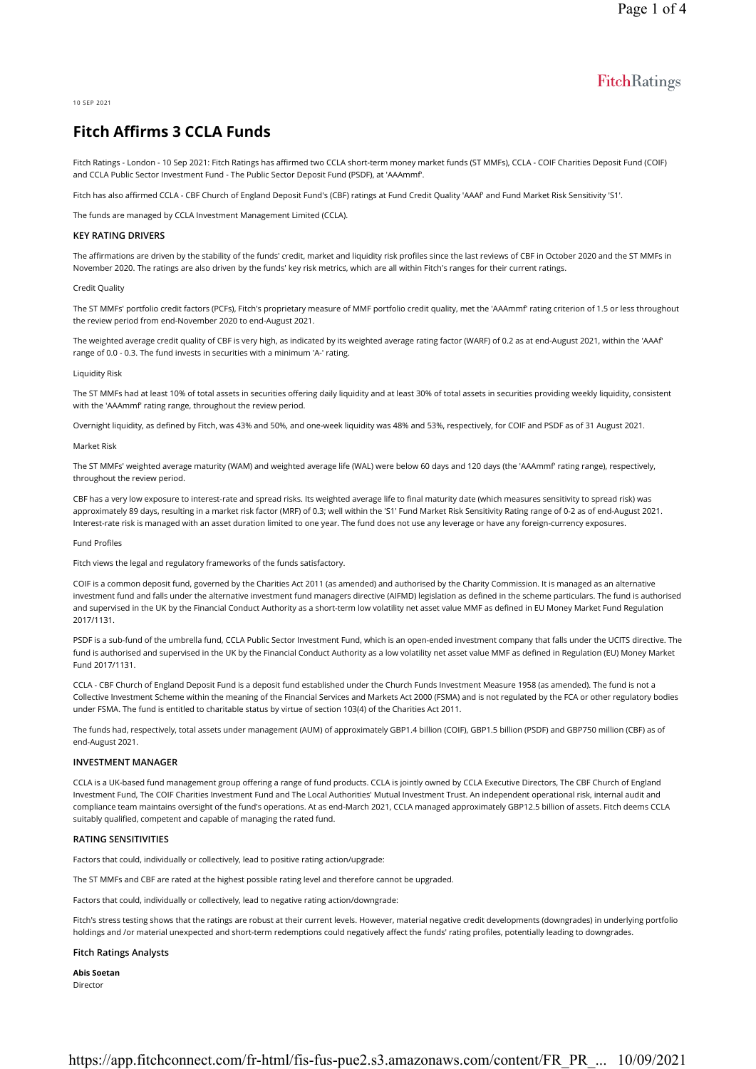# FitchRatings

10 SEP 2021

# Fitch Affirms 3 CCLA Funds

Fitch Ratings - London - 10 Sep 2021: Fitch Ratings has affirmed two CCLA short-term money market funds (ST MMFs), CCLA - COIF Charities Deposit Fund (COIF) and CCLA Public Sector Investment Fund - The Public Sector Deposit Fund (PSDF), at 'AAAmmf'.

Fitch has also affirmed CCLA - CBF Church of England Deposit Fund's (CBF) ratings at Fund Credit Quality 'AAAf' and Fund Market Risk Sensitivity 'S1'.

The funds are managed by CCLA Investment Management Limited (CCLA).

### KEY RATING DRIVERS

The affirmations are driven by the stability of the funds' credit, market and liquidity risk profiles since the last reviews of CBF in October 2020 and the ST MMFs in November 2020. The ratings are also driven by the funds' key risk metrics, which are all within Fitch's ranges for their current ratings.

#### Credit Quality

The ST MMFs' portfolio credit factors (PCFs), Fitch's proprietary measure of MMF portfolio credit quality, met the 'AAAmmf' rating criterion of 1.5 or less throughout the review period from end-November 2020 to end-August 2021.

The weighted average credit quality of CBF is very high, as indicated by its weighted average rating factor (WARF) of 0.2 as at end-August 2021, within the 'AAAf' range of 0.0 - 0.3. The fund invests in securities with a minimum 'A-' rating.

#### Liquidity Risk

The ST MMFs had at least 10% of total assets in securities offering daily liquidity and at least 30% of total assets in securities providing weekly liquidity, consistent with the 'AAAmmf' rating range, throughout the review period.

Overnight liquidity, as defined by Fitch, was 43% and 50%, and one-week liquidity was 48% and 53%, respectively, for COIF and PSDF as of 31 August 2021.

### Market Risk

The ST MMFs' weighted average maturity (WAM) and weighted average life (WAL) were below 60 days and 120 days (the 'AAAmmf' rating range), respectively, throughout the review period.

CBF has a very low exposure to interest-rate and spread risks. Its weighted average life to final maturity date (which measures sensitivity to spread risk) was approximately 89 days, resulting in a market risk factor (MRF) of 0.3; well within the 'S1' Fund Market Risk Sensitivity Rating range of 0-2 as of end-August 2021. Interest-rate risk is managed with an asset duration limited to one year. The fund does not use any leverage or have any foreign-currency exposures.

#### Fund Profiles

Fitch views the legal and regulatory frameworks of the funds satisfactory.

COIF is a common deposit fund, governed by the Charities Act 2011 (as amended) and authorised by the Charity Commission. It is managed as an alternative investment fund and falls under the alternative investment fund managers directive (AIFMD) legislation as defined in the scheme particulars. The fund is authorised and supervised in the UK by the Financial Conduct Authority as a short-term low volatility net asset value MMF as defined in EU Money Market Fund Regulation 2017/1131.

PSDF is a sub-fund of the umbrella fund, CCLA Public Sector Investment Fund, which is an open-ended investment company that falls under the UCITS directive. The fund is authorised and supervised in the UK by the Financial Conduct Authority as a low volatility net asset value MMF as defined in Regulation (EU) Money Market Fund 2017/1131.

CCLA - CBF Church of England Deposit Fund is a deposit fund established under the Church Funds Investment Measure 1958 (as amended). The fund is not a Collective Investment Scheme within the meaning of the Financial Services and Markets Act 2000 (FSMA) and is not regulated by the FCA or other regulatory bodies under FSMA. The fund is entitled to charitable status by virtue of section 103(4) of the Charities Act 2011.

The funds had, respectively, total assets under management (AUM) of approximately GBP1.4 billion (COIF), GBP1.5 billion (PSDF) and GBP750 million (CBF) as of end-August 2021.

### INVESTMENT MANAGER

CCLA is a UK-based fund management group offering a range of fund products. CCLA is jointly owned by CCLA Executive Directors, The CBF Church of England Investment Fund, The COIF Charities Investment Fund and The Local Authorities' Mutual Investment Trust. An independent operational risk, internal audit and compliance team maintains oversight of the fund's operations. At as end-March 2021, CCLA managed approximately GBP12.5 billion of assets. Fitch deems CCLA suitably qualified, competent and capable of managing the rated fund.

#### RATING SENSITIVITIES

Factors that could, individually or collectively, lead to positive rating action/upgrade:

The ST MMFs and CBF are rated at the highest possible rating level and therefore cannot be upgraded.

Factors that could, individually or collectively, lead to negative rating action/downgrade:

Fitch's stress testing shows that the ratings are robust at their current levels. However, material negative credit developments (downgrades) in underlying portfolio holdings and /or material unexpected and short-term redemptions could negatively affect the funds' rating profiles, potentially leading to downgrades.

#### Fitch Ratings Analysts

Abis Soetan Director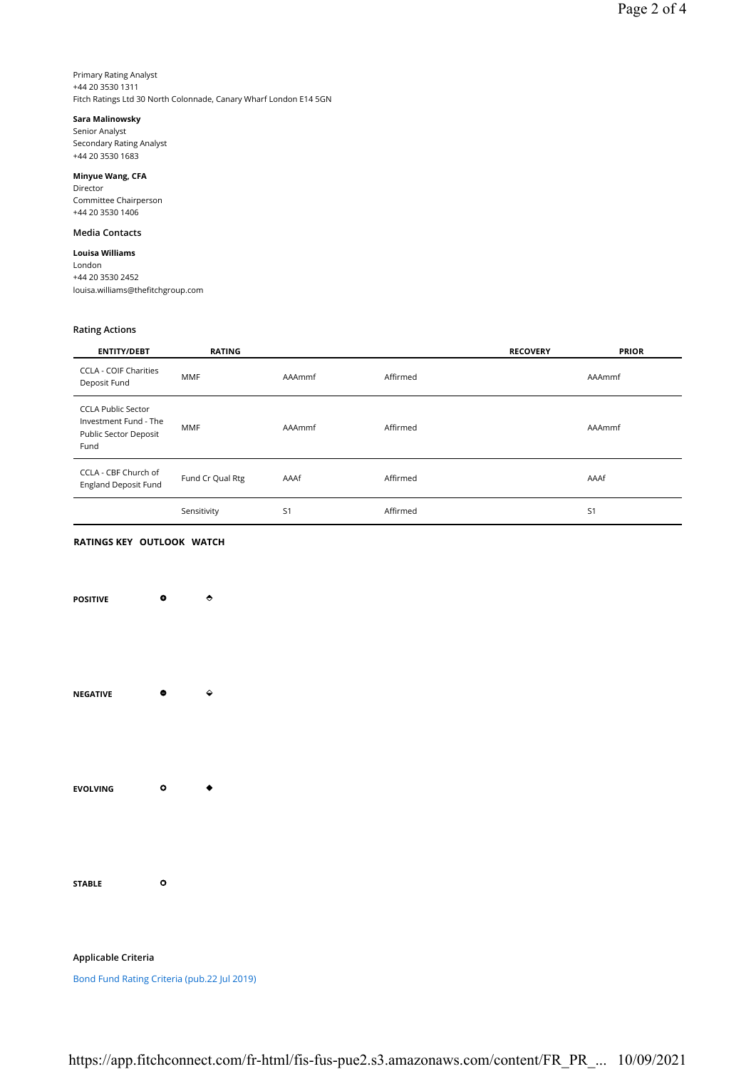Primary Rating Analyst +44 20 3530 1311 Fitch Ratings Ltd 30 North Colonnade, Canary Wharf London E14 5GN

# Sara Malinowsky

Senior Analyst Secondary Rating Analyst +44 20 3530 1683

Minyue Wang, CFA Director Committee Chairperson +44 20 3530 1406

# Media Contacts

Louisa Williams

London +44 20 3530 2452 louisa.williams@thefitchgroup.com

# Rating Actions

| <b>ENTITY/DEBT</b>                                                                  | <b>RATING</b>    |                |          | <b>RECOVERY</b> | <b>PRIOR</b>   |
|-------------------------------------------------------------------------------------|------------------|----------------|----------|-----------------|----------------|
| <b>CCLA - COIF Charities</b><br>Deposit Fund                                        | <b>MMF</b>       | AAAmmf         | Affirmed |                 | AAAmmf         |
| <b>CCLA Public Sector</b><br>Investment Fund - The<br>Public Sector Deposit<br>Fund | <b>MMF</b>       | AAAmmf         | Affirmed |                 | AAAmmf         |
| CCLA - CBF Church of<br><b>England Deposit Fund</b>                                 | Fund Cr Qual Rtg | AAAf           | Affirmed |                 | AAAf           |
|                                                                                     | Sensitivity      | S <sub>1</sub> | Affirmed |                 | S <sub>1</sub> |

# RATINGS KEY OUTLOOK WATCH

| <b>POSITIVE</b> | ۰         | ٠ |
|-----------------|-----------|---|
| <b>NEGATIVE</b> | ۰         | ♦ |
| <b>EVOLVING</b> | $\bullet$ |   |
| <b>STABLE</b>   | ٥         |   |

Applicable Criteria

Bond Fund Rating Criteria (pub.22 Jul 2019)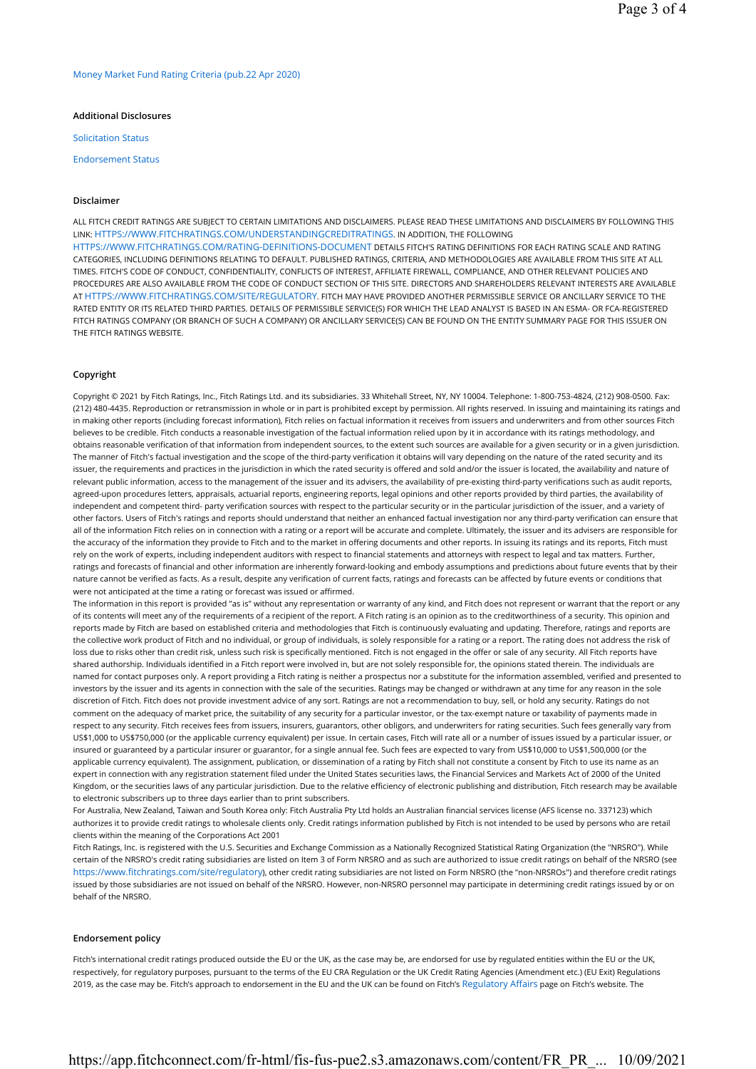Money Market Fund Rating Criteria (pub.22 Apr 2020)

## Additional Disclosures

Solicitation Status

Endorsement Status

### Disclaimer

ALL FITCH CREDIT RATINGS ARE SUBJECT TO CERTAIN LIMITATIONS AND DISCLAIMERS. PLEASE READ THESE LIMITATIONS AND DISCLAIMERS BY FOLLOWING THIS LINK: HTTPS://WWW.FITCHRATINGS.COM/UNDERSTANDINGCREDITRATINGS. IN ADDITION, THE FOLLOWING HTTPS://WWW.FITCHRATINGS.COM/RATING-DEFINITIONS-DOCUMENT DETAILS FITCH'S RATING DEFINITIONS FOR EACH RATING SCALE AND RATING CATEGORIES, INCLUDING DEFINITIONS RELATING TO DEFAULT. PUBLISHED RATINGS, CRITERIA, AND METHODOLOGIES ARE AVAILABLE FROM THIS SITE AT ALL TIMES. FITCH'S CODE OF CONDUCT, CONFIDENTIALITY, CONFLICTS OF INTEREST, AFFILIATE FIREWALL, COMPLIANCE, AND OTHER RELEVANT POLICIES AND PROCEDURES ARE ALSO AVAILABLE FROM THE CODE OF CONDUCT SECTION OF THIS SITE. DIRECTORS AND SHAREHOLDERS RELEVANT INTERESTS ARE AVAILABLE AT HTTPS://WWW.FITCHRATINGS.COM/SITE/REGULATORY. FITCH MAY HAVE PROVIDED ANOTHER PERMISSIBLE SERVICE OR ANCILLARY SERVICE TO THE RATED ENTITY OR ITS RELATED THIRD PARTIES. DETAILS OF PERMISSIBLE SERVICE(S) FOR WHICH THE LEAD ANALYST IS BASED IN AN ESMA- OR FCA-REGISTERED FITCH RATINGS COMPANY (OR BRANCH OF SUCH A COMPANY) OR ANCILLARY SERVICE(S) CAN BE FOUND ON THE ENTITY SUMMARY PAGE FOR THIS ISSUER ON THE FITCH RATINGS WEBSITE.

# Copyright

Copyright © 2021 by Fitch Ratings, Inc., Fitch Ratings Ltd. and its subsidiaries. 33 Whitehall Street, NY, NY 10004. Telephone: 1-800-753-4824, (212) 908-0500. Fax: (212) 480-4435. Reproduction or retransmission in whole or in part is prohibited except by permission. All rights reserved. In issuing and maintaining its ratings and in making other reports (including forecast information), Fitch relies on factual information it receives from issuers and underwriters and from other sources Fitch believes to be credible. Fitch conducts a reasonable investigation of the factual information relied upon by it in accordance with its ratings methodology, and obtains reasonable verification of that information from independent sources, to the extent such sources are available for a given security or in a given jurisdiction. The manner of Fitch's factual investigation and the scope of the third-party verification it obtains will vary depending on the nature of the rated security and its issuer, the requirements and practices in the jurisdiction in which the rated security is offered and sold and/or the issuer is located, the availability and nature of relevant public information, access to the management of the issuer and its advisers, the availability of pre-existing third-party verifications such as audit reports, agreed-upon procedures letters, appraisals, actuarial reports, engineering reports, legal opinions and other reports provided by third parties, the availability of independent and competent third- party verification sources with respect to the particular security or in the particular jurisdiction of the issuer, and a variety of other factors. Users of Fitch's ratings and reports should understand that neither an enhanced factual investigation nor any third-party verification can ensure that all of the information Fitch relies on in connection with a rating or a report will be accurate and complete. Ultimately, the issuer and its advisers are responsible for the accuracy of the information they provide to Fitch and to the market in offering documents and other reports. In issuing its ratings and its reports, Fitch must rely on the work of experts, including independent auditors with respect to financial statements and attorneys with respect to legal and tax matters. Further, ratings and forecasts of financial and other information are inherently forward-looking and embody assumptions and predictions about future events that by their nature cannot be verified as facts. As a result, despite any verification of current facts, ratings and forecasts can be affected by future events or conditions that were not anticipated at the time a rating or forecast was issued or affirmed.

The information in this report is provided "as is" without any representation or warranty of any kind, and Fitch does not represent or warrant that the report or any of its contents will meet any of the requirements of a recipient of the report. A Fitch rating is an opinion as to the creditworthiness of a security. This opinion and reports made by Fitch are based on established criteria and methodologies that Fitch is continuously evaluating and updating. Therefore, ratings and reports are the collective work product of Fitch and no individual, or group of individuals, is solely responsible for a rating or a report. The rating does not address the risk of loss due to risks other than credit risk, unless such risk is specifically mentioned. Fitch is not engaged in the offer or sale of any security. All Fitch reports have shared authorship. Individuals identified in a Fitch report were involved in, but are not solely responsible for, the opinions stated therein. The individuals are named for contact purposes only. A report providing a Fitch rating is neither a prospectus nor a substitute for the information assembled, verified and presented to investors by the issuer and its agents in connection with the sale of the securities. Ratings may be changed or withdrawn at any time for any reason in the sole discretion of Fitch. Fitch does not provide investment advice of any sort. Ratings are not a recommendation to buy, sell, or hold any security. Ratings do not comment on the adequacy of market price, the suitability of any security for a particular investor, or the tax-exempt nature or taxability of payments made in respect to any security. Fitch receives fees from issuers, insurers, guarantors, other obligors, and underwriters for rating securities. Such fees generally vary from US\$1,000 to US\$750,000 (or the applicable currency equivalent) per issue. In certain cases, Fitch will rate all or a number of issues issued by a particular issuer, or insured or guaranteed by a particular insurer or guarantor, for a single annual fee. Such fees are expected to vary from US\$10,000 to US\$1,500,000 (or the applicable currency equivalent). The assignment, publication, or dissemination of a rating by Fitch shall not constitute a consent by Fitch to use its name as an expert in connection with any registration statement filed under the United States securities laws, the Financial Services and Markets Act of 2000 of the United Kingdom, or the securities laws of any particular jurisdiction. Due to the relative efficiency of electronic publishing and distribution, Fitch research may be available to electronic subscribers up to three days earlier than to print subscribers.

For Australia, New Zealand, Taiwan and South Korea only: Fitch Australia Pty Ltd holds an Australian financial services license (AFS license no. 337123) which authorizes it to provide credit ratings to wholesale clients only. Credit ratings information published by Fitch is not intended to be used by persons who are retail clients within the meaning of the Corporations Act 2001

Fitch Ratings, Inc. is registered with the U.S. Securities and Exchange Commission as a Nationally Recognized Statistical Rating Organization (the "NRSRO"). While certain of the NRSRO's credit rating subsidiaries are listed on Item 3 of Form NRSRO and as such are authorized to issue credit ratings on behalf of the NRSRO (see https://www.fitchratings.com/site/regulatory), other credit rating subsidiaries are not listed on Form NRSRO (the "non-NRSROs") and therefore credit ratings issued by those subsidiaries are not issued on behalf of the NRSRO. However, non-NRSRO personnel may participate in determining credit ratings issued by or on behalf of the NRSRO.

## Endorsement policy

Fitch's international credit ratings produced outside the EU or the UK, as the case may be, are endorsed for use by regulated entities within the EU or the UK, respectively, for regulatory purposes, pursuant to the terms of the EU CRA Regulation or the UK Credit Rating Agencies (Amendment etc.) (EU Exit) Regulations 2019, as the case may be. Fitch's approach to endorsement in the EU and the UK can be found on Fitch's Regulatory Affairs page on Fitch's website. The